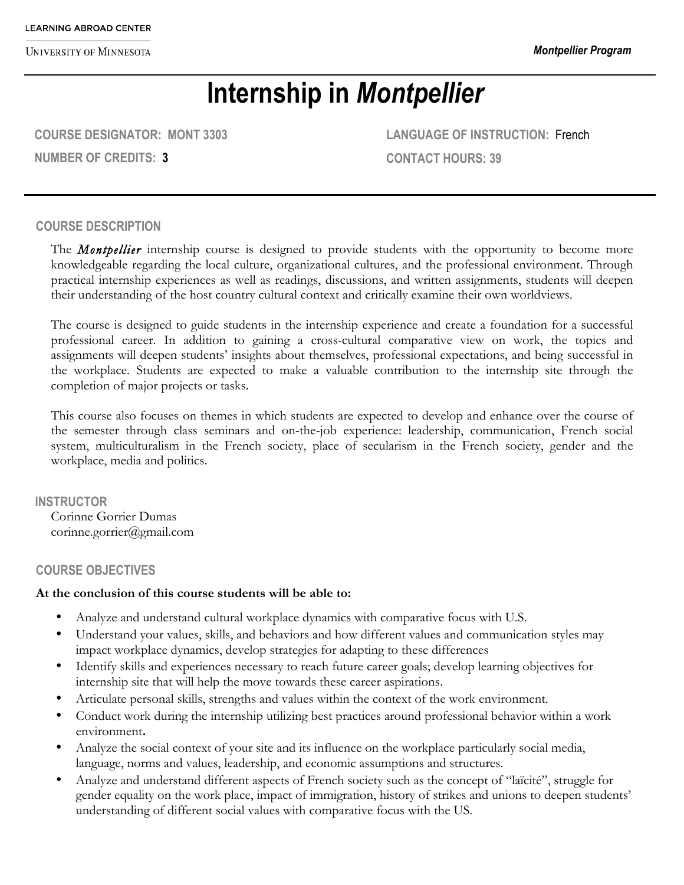**UNIVERSITY OF MINNESOTA** 

# **Internship in** *Montpellier*

**COURSE DESIGNATOR: MONT 3303 NUMBER OF CREDITS: 3**

**LANGUAGE OF INSTRUCTION:** French **CONTACT HOURS: 39**

#### **COURSE DESCRIPTION**

The *Montpellier* internship course is designed to provide students with the opportunity to become more knowledgeable regarding the local culture, organizational cultures, and the professional environment. Through practical internship experiences as well as readings, discussions, and written assignments, students will deepen their understanding of the host country cultural context and critically examine their own worldviews.

The course is designed to guide students in the internship experience and create a foundation for a successful professional career. In addition to gaining a cross-cultural comparative view on work, the topics and assignments will deepen students' insights about themselves, professional expectations, and being successful in the workplace. Students are expected to make a valuable contribution to the internship site through the completion of major projects or tasks.

This course also focuses on themes in which students are expected to develop and enhance over the course of the semester through class seminars and on-the-job experience: leadership, communication, French social system, multiculturalism in the French society, place of secularism in the French society, gender and the workplace, media and politics.

**INSTRUCTOR** Corinne Gorrier Dumas corinne.gorrier@gmail.com

#### **COURSE OBJECTIVES**

#### **At the conclusion of this course students will be able to:**

- Analyze and understand cultural workplace dynamics with comparative focus with U.S.
- Understand your values, skills, and behaviors and how different values and communication styles may impact workplace dynamics, develop strategies for adapting to these differences
- Identify skills and experiences necessary to reach future career goals; develop learning objectives for internship site that will help the move towards these career aspirations.
- Articulate personal skills, strengths and values within the context of the work environment.
- Conduct work during the internship utilizing best practices around professional behavior within a work environment**.**
- Analyze the social context of your site and its influence on the workplace particularly social media, language, norms and values, leadership, and economic assumptions and structures.
- Analyze and understand different aspects of French society such as the concept of "laïcité", struggle for gender equality on the work place, impact of immigration, history of strikes and unions to deepen students' understanding of different social values with comparative focus with the US.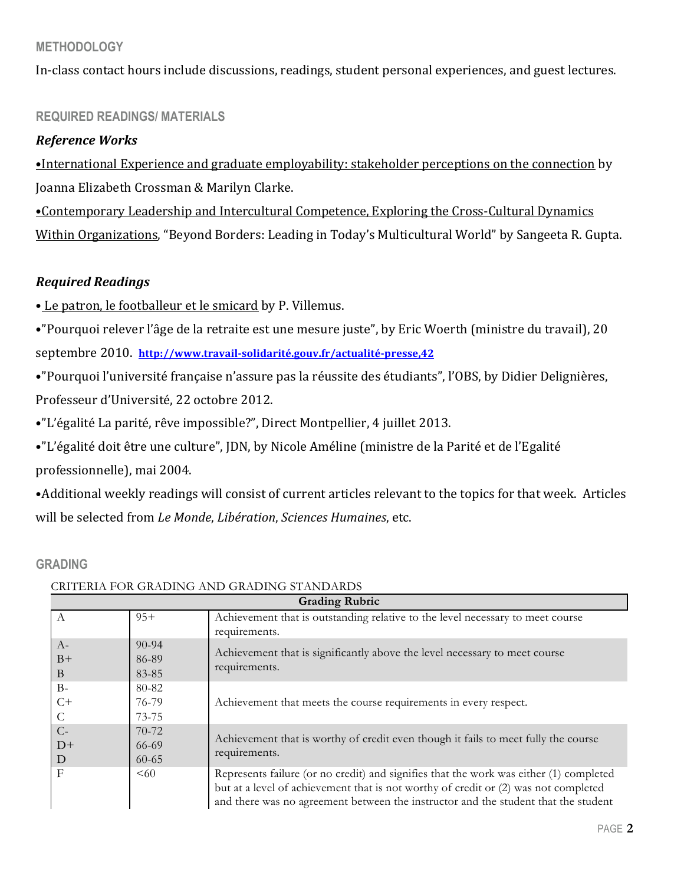## **METHODOLOGY**

In-class contact hours include discussions, readings, student personal experiences, and guest lectures.

## **REQUIRED READINGS/ MATERIALS**

### *Reference Works*

•International Experience and graduate employability: stakeholder perceptions on the connection by Joanna Elizabeth Crossman & Marilyn Clarke.

•Contemporary Leadership and Intercultural Competence, Exploring the Cross-Cultural Dynamics Within Organizations, "Beyond Borders: Leading in Today's Multicultural World" by Sangeeta R. Gupta.

#### *Required Readings*

• Le patron, le footballeur et le smicard by P. Villemus.

•"Pourquoi relever l'âge de la retraite est une mesure juste", by Eric Woerth (ministre du travail), 20 septembre 2010. http://www.travail-solidarité.gouv.fr/actualité-presse,42

•"Pourquoi l'université française n'assure pas la réussite des étudiants", l'OBS, by Didier Delignières, Professeur d'Université, 22 octobre 2012.

•"L'égalité La parité, rêve impossible?", Direct Montpellier, 4 juillet 2013.

•"L'égalité doit être une culture", JDN, by Nicole Améline (ministre de la Parité et de l'Egalité professionnelle), mai 2004.

• Additional weekly readings will consist of current articles relevant to the topics for that week. Articles will be selected from *Le Monde*, *Libération*, *Sciences Humaines*, etc.

#### **GRADING**

| <b>Grading Rubric</b> |           |                                                                                                                                                                                                                                                                     |  |
|-----------------------|-----------|---------------------------------------------------------------------------------------------------------------------------------------------------------------------------------------------------------------------------------------------------------------------|--|
|                       | $95+$     | Achievement that is outstanding relative to the level necessary to meet course                                                                                                                                                                                      |  |
|                       |           | requirements.                                                                                                                                                                                                                                                       |  |
| $A-$                  | $90 - 94$ |                                                                                                                                                                                                                                                                     |  |
| $B+$                  | 86-89     | Achievement that is significantly above the level necessary to meet course<br>requirements.                                                                                                                                                                         |  |
| B                     | 83-85     |                                                                                                                                                                                                                                                                     |  |
| $B-$                  | 80-82     | Achievement that meets the course requirements in every respect.                                                                                                                                                                                                    |  |
| $C+$                  | 76-79     |                                                                                                                                                                                                                                                                     |  |
|                       | $73 - 75$ |                                                                                                                                                                                                                                                                     |  |
| $C-$                  | 70-72     | Achievement that is worthy of credit even though it fails to meet fully the course<br>requirements.                                                                                                                                                                 |  |
| $D+$                  | 66-69     |                                                                                                                                                                                                                                                                     |  |
| D                     | $60 - 65$ |                                                                                                                                                                                                                                                                     |  |
| F                     | <60       | Represents failure (or no credit) and signifies that the work was either (1) completed<br>but at a level of achievement that is not worthy of credit or (2) was not completed<br>and there was no agreement between the instructor and the student that the student |  |

#### CRITERIA FOR GRADING AND GRADING STANDARDS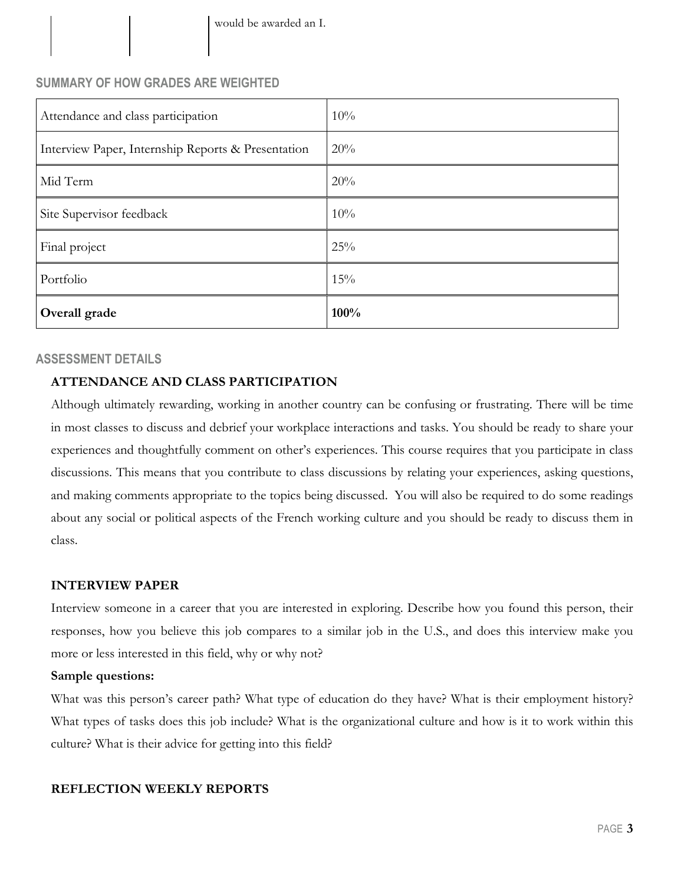# **SUMMARY OF HOW GRADES ARE WEIGHTED**

| Attendance and class participation                 | 10%  |
|----------------------------------------------------|------|
| Interview Paper, Internship Reports & Presentation | 20%  |
| Mid Term                                           | 20%  |
| Site Supervisor feedback                           | 10%  |
| Final project                                      | 25%  |
| Portfolio                                          | 15%  |
| Overall grade                                      | 100% |

## **ASSESSMENT DETAILS**

## **ATTENDANCE AND CLASS PARTICIPATION**

Although ultimately rewarding, working in another country can be confusing or frustrating. There will be time in most classes to discuss and debrief your workplace interactions and tasks. You should be ready to share your experiences and thoughtfully comment on other's experiences. This course requires that you participate in class discussions. This means that you contribute to class discussions by relating your experiences, asking questions, and making comments appropriate to the topics being discussed. You will also be required to do some readings about any social or political aspects of the French working culture and you should be ready to discuss them in class.

#### **INTERVIEW PAPER**

Interview someone in a career that you are interested in exploring. Describe how you found this person, their responses, how you believe this job compares to a similar job in the U.S., and does this interview make you more or less interested in this field, why or why not?

#### **Sample questions:**

What was this person's career path? What type of education do they have? What is their employment history? What types of tasks does this job include? What is the organizational culture and how is it to work within this culture? What is their advice for getting into this field?

#### **REFLECTION WEEKLY REPORTS**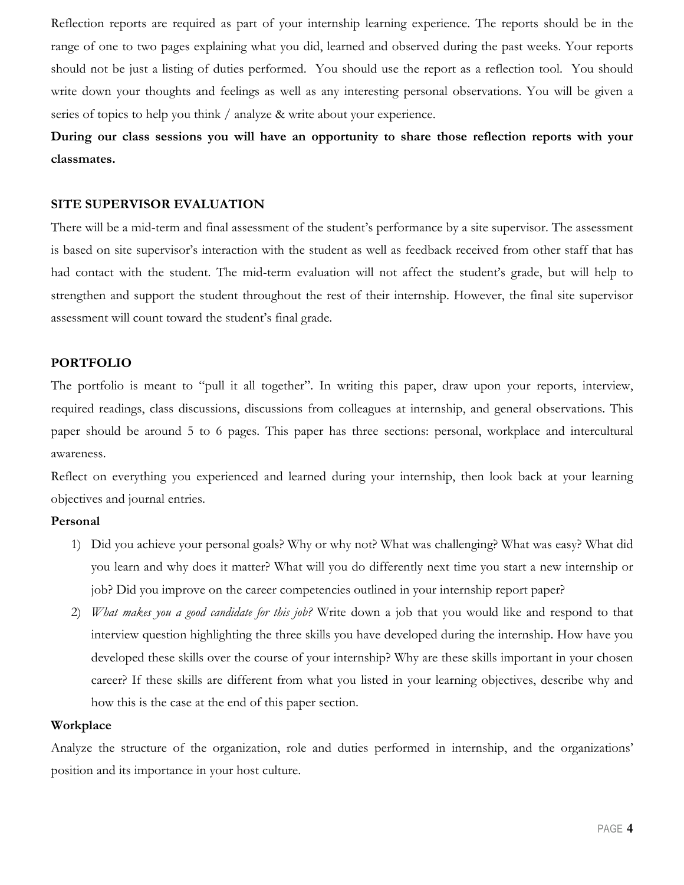Reflection reports are required as part of your internship learning experience. The reports should be in the range of one to two pages explaining what you did, learned and observed during the past weeks. Your reports should not be just a listing of duties performed. You should use the report as a reflection tool. You should write down your thoughts and feelings as well as any interesting personal observations. You will be given a series of topics to help you think / analyze & write about your experience.

**During our class sessions you will have an opportunity to share those reflection reports with your classmates.**

#### **SITE SUPERVISOR EVALUATION**

There will be a mid-term and final assessment of the student's performance by a site supervisor. The assessment is based on site supervisor's interaction with the student as well as feedback received from other staff that has had contact with the student. The mid-term evaluation will not affect the student's grade, but will help to strengthen and support the student throughout the rest of their internship. However, the final site supervisor assessment will count toward the student's final grade.

#### **PORTFOLIO**

The portfolio is meant to "pull it all together". In writing this paper, draw upon your reports, interview, required readings, class discussions, discussions from colleagues at internship, and general observations. This paper should be around 5 to 6 pages. This paper has three sections: personal, workplace and intercultural awareness.

Reflect on everything you experienced and learned during your internship, then look back at your learning objectives and journal entries.

#### **Personal**

- 1) Did you achieve your personal goals? Why or why not? What was challenging? What was easy? What did you learn and why does it matter? What will you do differently next time you start a new internship or job? Did you improve on the career competencies outlined in your internship report paper?
- 2) *What makes you a good candidate for this job?* Write down a job that you would like and respond to that interview question highlighting the three skills you have developed during the internship. How have you developed these skills over the course of your internship? Why are these skills important in your chosen career? If these skills are different from what you listed in your learning objectives, describe why and how this is the case at the end of this paper section.

#### **Workplace**

Analyze the structure of the organization, role and duties performed in internship, and the organizations' position and its importance in your host culture.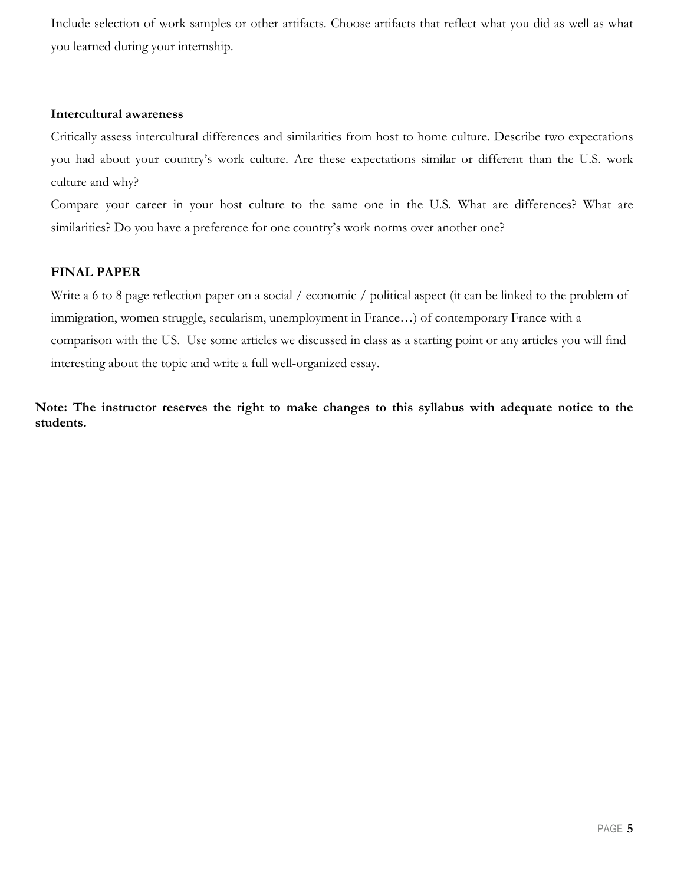Include selection of work samples or other artifacts. Choose artifacts that reflect what you did as well as what you learned during your internship.

#### **Intercultural awareness**

Critically assess intercultural differences and similarities from host to home culture. Describe two expectations you had about your country's work culture. Are these expectations similar or different than the U.S. work culture and why?

Compare your career in your host culture to the same one in the U.S. What are differences? What are similarities? Do you have a preference for one country's work norms over another one?

#### **FINAL PAPER**

Write a 6 to 8 page reflection paper on a social / economic / political aspect (it can be linked to the problem of immigration, women struggle, secularism, unemployment in France…) of contemporary France with a comparison with the US. Use some articles we discussed in class as a starting point or any articles you will find interesting about the topic and write a full well-organized essay.

**Note: The instructor reserves the right to make changes to this syllabus with adequate notice to the students.**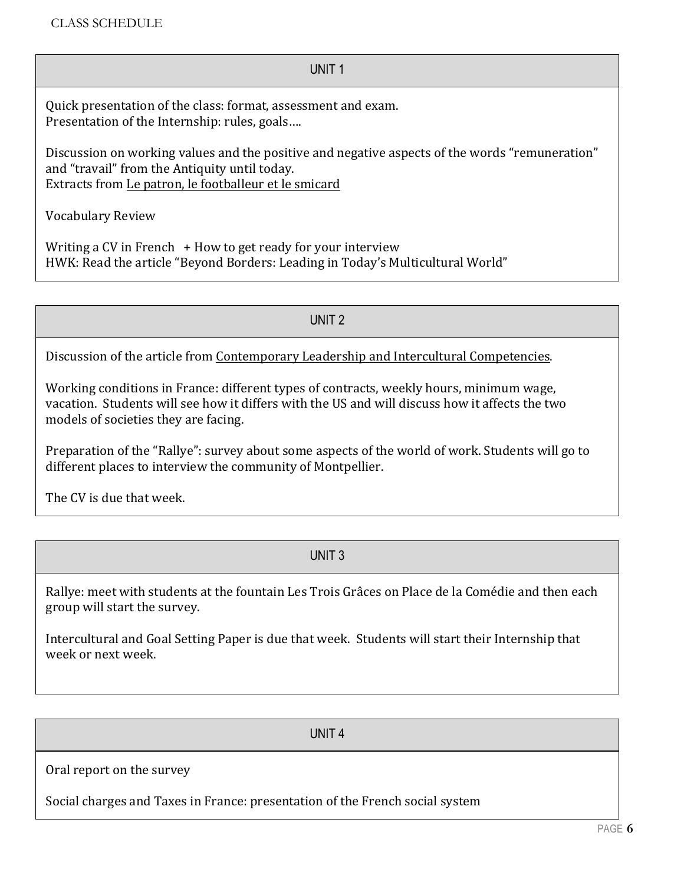#### UNIT 1

Quick presentation of the class: format, assessment and exam. Presentation of the Internship: rules, goals....

Discussion on working values and the positive and negative aspects of the words "remuneration" and "travail" from the Antiquity until today. Extracts from Le patron, le footballeur et le smicard

Vocabulary Review

Writing a CV in French  $+$  How to get ready for your interview HWK: Read the article "Beyond Borders: Leading in Today's Multicultural World"

UNIT 2

Discussion of the article from Contemporary Leadership and Intercultural Competencies.

Working conditions in France: different types of contracts, weekly hours, minimum wage, vacation. Students will see how it differs with the US and will discuss how it affects the two models of societies they are facing.

Preparation of the "Rallye": survey about some aspects of the world of work. Students will go to different places to interview the community of Montpellier.

The CV is due that week.

UNIT 3

Rallye: meet with students at the fountain Les Trois Grâces on Place de la Comédie and then each group will start the survey.

Intercultural and Goal Setting Paper is due that week. Students will start their Internship that week or next week.

UNIT 4

Oral report on the survey

Social charges and Taxes in France: presentation of the French social system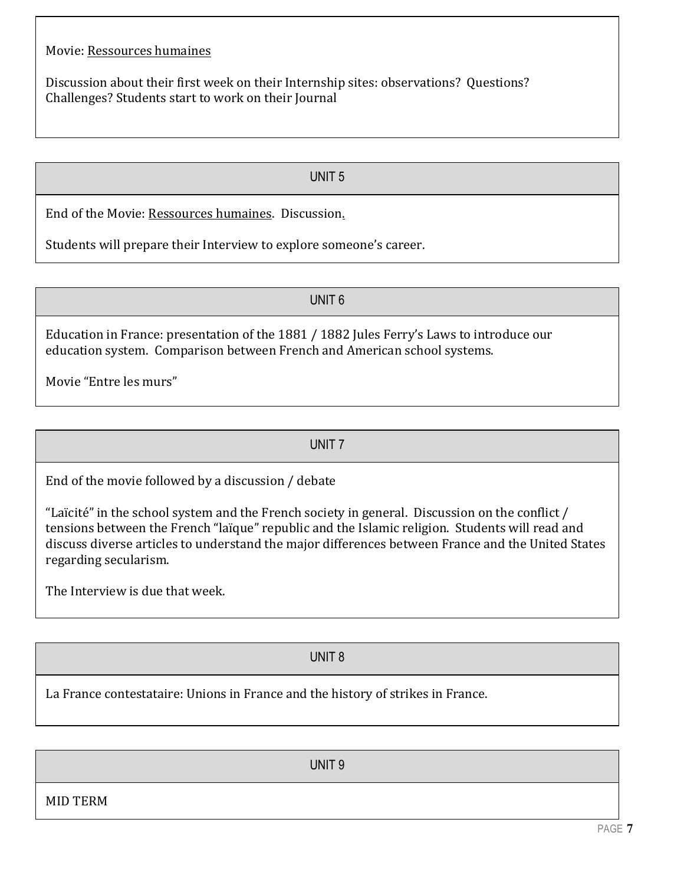Discussion about their first week on their Internship sites: observations? Questions? Challenges? Students start to work on their Journal

UNIT 5

End of the Movie: Ressources humaines. Discussion.

Students will prepare their Interview to explore someone's career.

UNIT 6

Education in France: presentation of the 1881 / 1882 Jules Ferry's Laws to introduce our education system. Comparison between French and American school systems.

Movie "Entre les murs"

UNIT 7

End of the movie followed by a discussion / debate

"Laïcité" in the school system and the French society in general. Discussion on the conflict  $/$ tensions between the French "laïque" republic and the Islamic religion. Students will read and discuss diverse articles to understand the major differences between France and the United States regarding secularism.

The Interview is due that week.

UNIT 8

La France contestataire: Unions in France and the history of strikes in France.

UNIT 9

MID TERM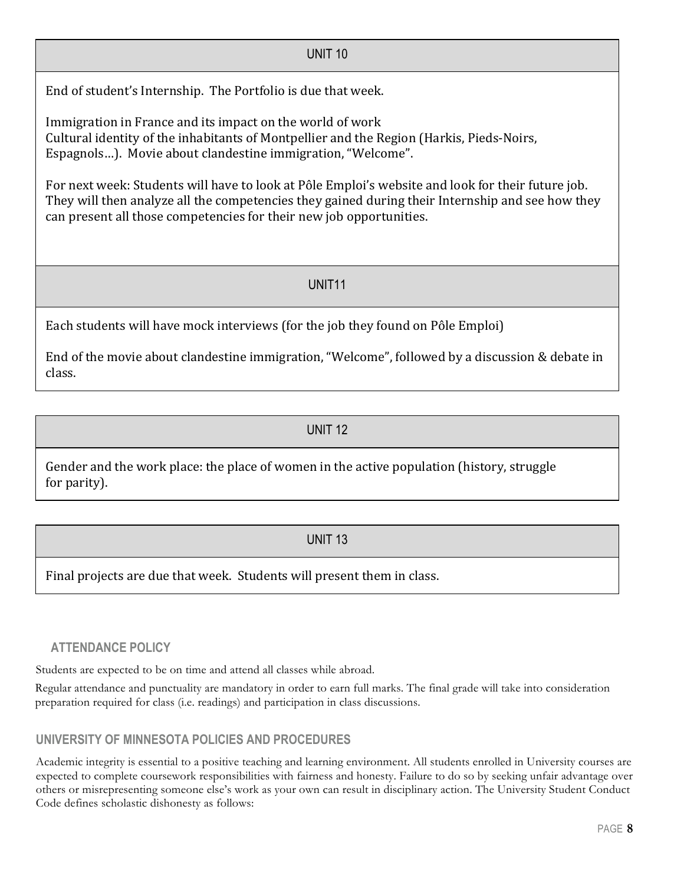End of student's Internship. The Portfolio is due that week.

Immigration in France and its impact on the world of work Cultural identity of the inhabitants of Montpellier and the Region (Harkis, Pieds-Noirs, Espagnols...). Movie about clandestine immigration, "Welcome".

For next week: Students will have to look at Pôle Emploi's website and look for their future job. They will then analyze all the competencies they gained during their Internship and see how they can present all those competencies for their new job opportunities.

UNIT 10

# UNIT11

Each students will have mock interviews (for the job they found on Pôle Emploi)

End of the movie about clandestine immigration, "Welcome", followed by a discussion & debate in class.

UNIT 12

Gender and the work place: the place of women in the active population (history, struggle for parity).

# UNIT 13

Final projects are due that week. Students will present them in class.

# **ATTENDANCE POLICY**

Students are expected to be on time and attend all classes while abroad.

Regular attendance and punctuality are mandatory in order to earn full marks. The final grade will take into consideration preparation required for class (i.e. readings) and participation in class discussions.

# **UNIVERSITY OF MINNESOTA POLICIES AND PROCEDURES**

Academic integrity is essential to a positive teaching and learning environment. All students enrolled in University courses are expected to complete coursework responsibilities with fairness and honesty. Failure to do so by seeking unfair advantage over others or misrepresenting someone else's work as your own can result in disciplinary action. The University Student Conduct Code defines scholastic dishonesty as follows: